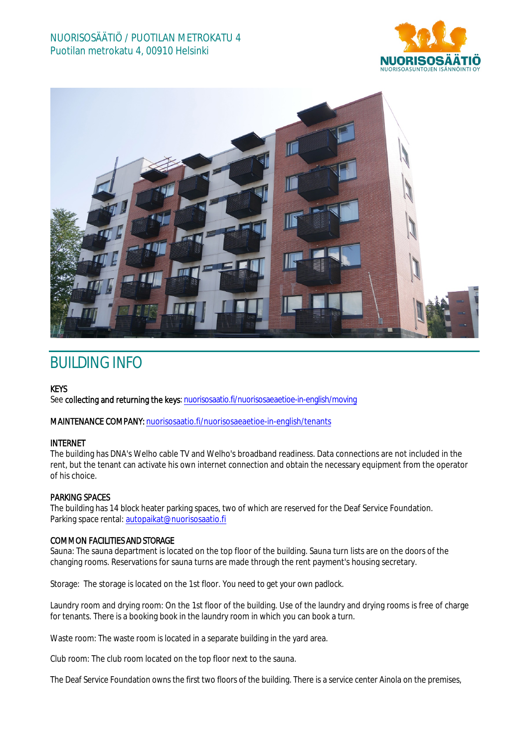



# BUILDING INFO

## **KEYS**

See collecting and returning the keys: nuorisosaatio.fi/nuorisosaeaetioe-in-english/moving

MAINTENANCE COMPANY: nuorisosaatio.fi/nuorisosaeaetioe-in-english/tenants

## INTERNET

The building has DNA's Welho cable TV and Welho's broadband readiness. Data connections are not included in the rent, but the tenant can activate his own internet connection and obtain the necessary equipment from the operator of his choice.

## PARKING SPACES

The building has 14 block heater parking spaces, two of which are reserved for the Deaf Service Foundation. Parking space rental: autopaikat@nuorisosaatio.fi

## COMMON FACILITIES AND STORAGE

Sauna: The sauna department is located on the top floor of the building. Sauna turn lists are on the doors of the changing rooms. Reservations for sauna turns are made through the rent payment's housing secretary.

Storage: The storage is located on the 1st floor. You need to get your own padlock.

Laundry room and drying room: On the 1st floor of the building. Use of the laundry and drying rooms is free of charge for tenants. There is a booking book in the laundry room in which you can book a turn.

Waste room: The waste room is located in a separate building in the yard area.

Club room: The club room located on the top floor next to the sauna.

The Deaf Service Foundation owns the first two floors of the building. There is a service center Ainola on the premises,